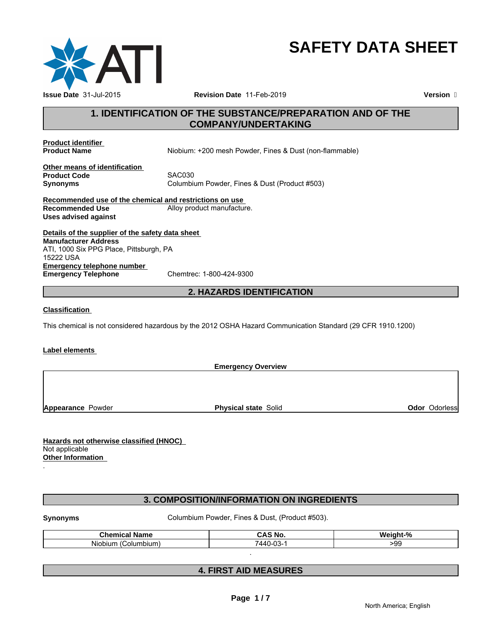

# **SAFETY DATA SHEET**

# **1. IDENTIFICATION OF THE SUBSTANCE/PREPARATION AND OF THE COMPANY/UNDERTAKING**

**Product identifier** 

**Product Name** Niobium: +200 mesh Powder, Fines & Dust (non-flammable)

**Other means of identification Product Code**<br>Synonyms

**Synonyms** Columbium Powder, Fines & Dust (Product #503)

**Recommended use of the chemical and restrictions on use Recommended Use Alloy product manufacture. Uses advised against**

**Details of the supplier of the safety data sheet Emergency telephone number**<br> **Emergency Telephone**<br>
Chemtrec: 1-800-424-9300 **Emergency Telephone Manufacturer Address** ATI, 1000 Six PPG Place, Pittsburgh, PA 15222 USA

# **2. HAZARDS IDENTIFICATION**

### **Classification**

This chemical is not considered hazardous by the 2012 OSHA Hazard Communication Standard (29 CFR 1910.1200)

#### **Label elements**

**Emergency Overview**

**Appearance Powder Physical state Solid Connect Appearance Powder Connect Solid Appearance Powder Connect Solid Appearance Powders** 

**Hazards not otherwise classified (HNOC)**  Not applicable **Other Information** 

# **3. COMPOSITION/INFORMATION ON INGREDIENTS**

.

**Synonyms Columbium Powder, Fines & Dust, (Product #503).** Columbium Powder, Fines & Dust, (Product #503).

| <b>Chemical</b><br><b>Name</b> | $\ddot{\phantom{1}}$<br>i No<br>… ∧ ∾<br>$\cdots$ | $\blacksquare$<br>-<br>Weight-5<br>70. |
|--------------------------------|---------------------------------------------------|----------------------------------------|
| (Columbium<br>Niobium          | ΩΩ<br>'440-0<br>-uə-                              | חה.<br>ັ                               |

.

# **4. FIRST AID MEASURES**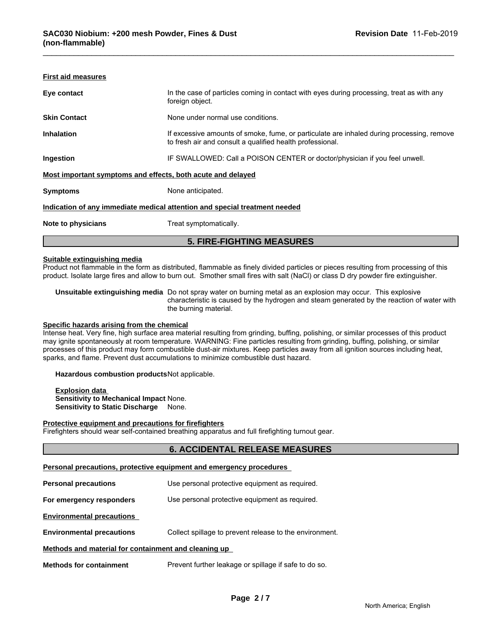|                           | <b>5. FIRE-FIGHTING MEASURES</b>                                                                                                                       |
|---------------------------|--------------------------------------------------------------------------------------------------------------------------------------------------------|
| Note to physicians        | Treat symptomatically.                                                                                                                                 |
|                           | Indication of any immediate medical attention and special treatment needed                                                                             |
| <b>Symptoms</b>           | None anticipated.                                                                                                                                      |
|                           | Most important symptoms and effects, both acute and delayed                                                                                            |
| Ingestion                 | IF SWALLOWED: Call a POISON CENTER or doctor/physician if you feel unwell.                                                                             |
| <b>Inhalation</b>         | If excessive amounts of smoke, fume, or particulate are inhaled during processing, remove<br>to fresh air and consult a qualified health professional. |
| <b>Skin Contact</b>       | None under normal use conditions.                                                                                                                      |
| Eye contact               | In the case of particles coming in contact with eyes during processing, treat as with any<br>foreign object.                                           |
| <b>First aid measures</b> |                                                                                                                                                        |

#### **Suitable extinguishing media**

Product not flammable in the form as distributed, flammable as finely divided particles or pieces resulting from processing of this product. Isolate large fires and allow to burn out. Smother small fires with salt (NaCl) or class D dry powder fire extinguisher.

**Unsuitable extinguishing media** Do not spray water on burning metal as an explosion may occur. This explosive characteristic is caused by the hydrogen and steam generated by the reaction of water with the burning material.

#### **Specific hazards arising from the chemical**

Intense heat. Very fine, high surface area material resulting from grinding, buffing, polishing, or similar processes of this product may ignite spontaneously at room temperature. WARNING: Fine particles resulting from grinding, buffing, polishing, or similar processes of this product may form combustible dust-air mixtures. Keep particles away from all ignition sources including heat, sparks, and flame. Prevent dust accumulations to minimize combustible dust hazard.

#### **Hazardous combustion products**Not applicable.

**Explosion data Sensitivity to Mechanical Impact** None. **Sensitivity to Static Discharge** None.

#### **Protective equipment and precautions for firefighters**

Firefighters should wear self-contained breathing apparatus and full firefighting turnout gear.

### **6. ACCIDENTAL RELEASE MEASURES**

#### **Personal precautions, protective equipment and emergency procedures**

**Personal precautions** Use personal protective equipment as required. **For emergency responders** Use personal protective equipment as required. **Environmental precautions Environmental precautions** Collect spillage to prevent release to the environment. **Methods and material for containment and cleaning up Methods for containment** Prevent further leakage or spillage if safe to do so.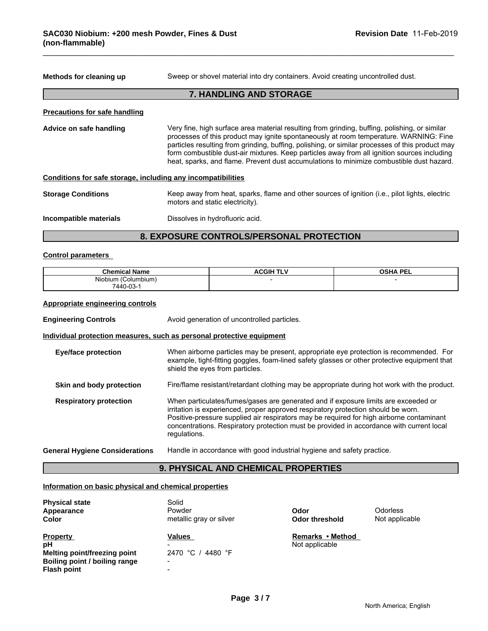**Methods for cleaning up** Sweep or shovel material into dry containers. Avoid creating uncontrolled dust.

# **7. HANDLING AND STORAGE**

#### **Precautions for safe handling**

**Advice on safe handling** Very fine, high surface area material resulting from grinding, buffing, polishing, or similar processes of this product may ignite spontaneously at room temperature. WARNING: Fine particles resulting from grinding, buffing, polishing, or similar processes of this product may form combustible dust-air mixtures. Keep particles away from all ignition sources including heat, sparks, and flame. Prevent dust accumulations to minimize combustible dust hazard.

| Conditions for safe storage, including any incompatibilities |                                                                                                                                   |  |
|--------------------------------------------------------------|-----------------------------------------------------------------------------------------------------------------------------------|--|
| <b>Storage Conditions</b>                                    | Keep away from heat, sparks, flame and other sources of ignition (i.e., pilot lights, electric<br>motors and static electricity). |  |
| Dissolves in hydrofluoric acid.<br>Incompatible materials    |                                                                                                                                   |  |

# **8. EXPOSURE CONTROLS/PERSONAL PROTECTION**

#### **Control parameters**

| $\sim$<br>∵hen<br>Name<br>mıca:<br>,,,,, | .GIF<br>Δ.<br>. . | DEL.<br><b>OCUA</b><br>--- |
|------------------------------------------|-------------------|----------------------------|
| .<br>olumbium:<br>Niobium                |                   |                            |
| 7440-03<br>U-UJ-                         |                   |                            |

#### **Appropriate engineering controls**

**Engineering Controls Avoid generation of uncontrolled particles.** 

#### **Individual protection measures, such as personal protective equipment**

| <b>Eye/face protection</b>            | When airborne particles may be present, appropriate eye protection is recommended. For<br>example, tight-fitting goggles, foam-lined safety glasses or other protective equipment that<br>shield the eyes from particles.                                                                                                                                                       |
|---------------------------------------|---------------------------------------------------------------------------------------------------------------------------------------------------------------------------------------------------------------------------------------------------------------------------------------------------------------------------------------------------------------------------------|
| Skin and body protection              | Fire/flame resistant/retardant clothing may be appropriate during hot work with the product.                                                                                                                                                                                                                                                                                    |
| <b>Respiratory protection</b>         | When particulates/fumes/gases are generated and if exposure limits are exceeded or<br>irritation is experienced, proper approved respiratory protection should be worn.<br>Positive-pressure supplied air respirators may be required for high airborne contaminant<br>concentrations. Respiratory protection must be provided in accordance with current local<br>regulations. |
| <b>General Hygiene Considerations</b> | Handle in accordance with good industrial hygiene and safety practice.                                                                                                                                                                                                                                                                                                          |

#### **9. PHYSICAL AND CHEMICAL PROPERTIES**

#### **Information on basic physical and chemical properties**

| <b>Physical state</b><br>Appearance<br>Color                                                                        | Solid<br>Powder<br>metallic gray or silver                             | Odor<br><b>Odor threshold</b>      | <b>Odorless</b><br>Not applicable |
|---------------------------------------------------------------------------------------------------------------------|------------------------------------------------------------------------|------------------------------------|-----------------------------------|
| <b>Property</b><br>рH<br><b>Melting point/freezing point</b><br>Boiling point / boiling range<br><b>Flash point</b> | <b>Values</b><br>2470 °C / 4480 °F<br>$\overline{\phantom{0}}$<br>$\,$ | Remarks • Method<br>Not applicable |                                   |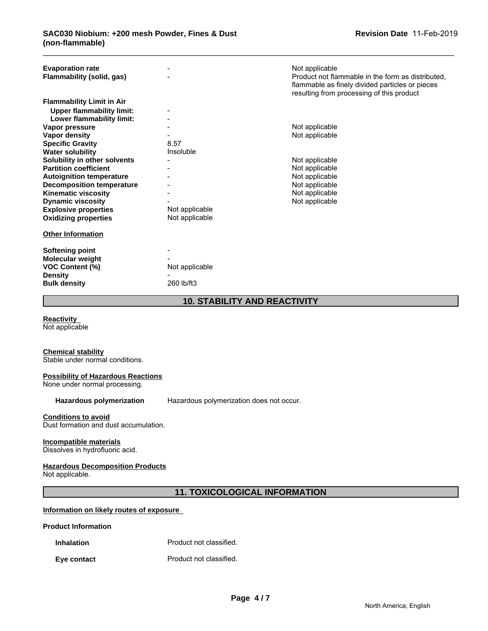| flammable as finely divided particles or pieces<br>resulting from processing of this product |
|----------------------------------------------------------------------------------------------|
| Product not flammable in the form as distributed.                                            |
|                                                                                              |
|                                                                                              |

**Reactivity** 

Not applicable

# **Chemical stability**

Stable under normal conditions.

#### **Possibility of Hazardous Reactions**

None under normal processing.

Hazardous polymerization Hazardous polymerization does not occur.

#### **Conditions to avoid**

Dust formation and dust accumulation.

#### **Incompatible materials**

Dissolves in hydrofluoric acid.

#### **Hazardous Decomposition Products**

Not applicable.

# **11. TOXICOLOGICAL INFORMATION**

### **Information on likely routes of exposure**

#### **Product Information**

**Inhalation** Product not classified.

#### **Eye contact Exercise Exercise Exercise Exercise Exercise Exercise Exercise Exercise Exercise Exercise Exercise**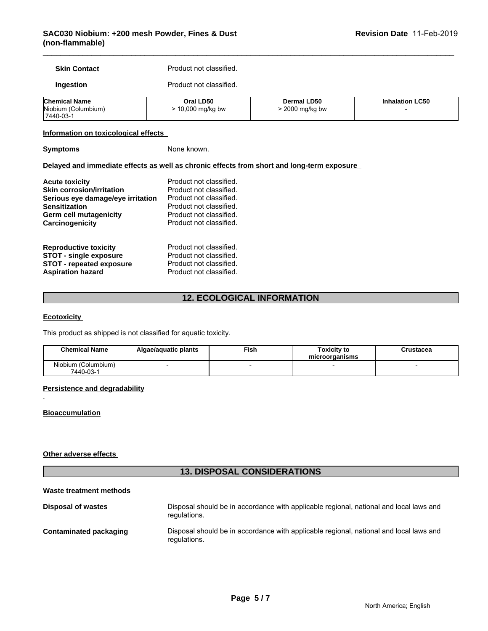**Skin Contact** Product not classified.

#### **Ingestion** Product not classified.

| <b>Chemical Name</b>   | Oral LD50            | <b>LD50</b><br>Dermal | <b>Inhalation LC50</b> |
|------------------------|----------------------|-----------------------|------------------------|
| Niobium<br>(Columbium) | $\sim$<br>∣ mq/kq bw | 2000<br>) mg/kg bw    |                        |
| $17440-03-$            |                      |                       |                        |

#### **Information on toxicological effects**

**Symptoms** None known.

#### **Delayed and immediate effects as well as chronic effects from short and long-term exposure**

| <b>Acute toxicity</b>             | Product not classified. |
|-----------------------------------|-------------------------|
| <b>Skin corrosion/irritation</b>  | Product not classified. |
| Serious eye damage/eye irritation | Product not classified. |
| <b>Sensitization</b>              | Product not classified. |
| Germ cell mutagenicity            | Product not classified. |
| Carcinogenicity                   | Product not classified. |
| <b>Reproductive toxicity</b>      | Product not classified. |
| <b>STOT - single exposure</b>     | Product not classified. |
| <b>STOT - repeated exposure</b>   | Product not classified. |
| <b>Aspiration hazard</b>          | Product not classified. |

# **12. ECOLOGICAL INFORMATION**

#### **Ecotoxicity**

This product as shipped is not classified for aquatic toxicity.

| <b>Chemical Name</b>             | Algae/aguatic plants | Fish | Toxicity to<br>microorganisms | Crustacea |
|----------------------------------|----------------------|------|-------------------------------|-----------|
| Niobium (Columbium)<br>7440-03-1 |                      |      |                               |           |

#### **Persistence and degradability**

### **Bioaccumulation**

.

#### **Other adverse effects**

# **13. DISPOSAL CONSIDERATIONS**

#### **Waste treatment methods**

| Disposal of wastes            | Disposal should be in accordance with applicable regional, national and local laws and<br>regulations. |
|-------------------------------|--------------------------------------------------------------------------------------------------------|
| <b>Contaminated packaging</b> | Disposal should be in accordance with applicable regional, national and local laws and<br>requlations. |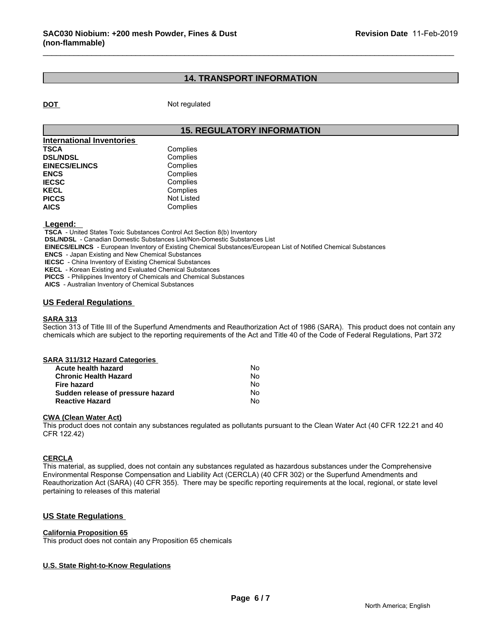# **14. TRANSPORT INFORMATION**

**DOT** Not regulated

## **15. REGULATORY INFORMATION**

| <b>International Inventories</b> |            |
|----------------------------------|------------|
| <b>TSCA</b>                      | Complies   |
| <b>DSL/NDSL</b>                  | Complies   |
| <b>EINECS/ELINCS</b>             | Complies   |
| <b>ENCS</b>                      | Complies   |
| <b>IECSC</b>                     | Complies   |
| <b>KECL</b>                      | Complies   |
| <b>PICCS</b>                     | Not Listed |
| <b>AICS</b>                      | Complies   |

#### **Legend:**

 **TSCA** - United States Toxic Substances Control Act Section 8(b) Inventory

 **DSL/NDSL** - Canadian Domestic Substances List/Non-Domestic Substances List

 **EINECS/ELINCS** - European Inventory of Existing Chemical Substances/European List of Notified Chemical Substances

 **ENCS** - Japan Existing and New Chemical Substances

 **IECSC** - China Inventory of Existing Chemical Substances

 **KECL** - Korean Existing and Evaluated Chemical Substances

 **PICCS** - Philippines Inventory of Chemicals and Chemical Substances

 **AICS** - Australian Inventory of Chemical Substances

### **US Federal Regulations**

#### **SARA 313**

Section 313 of Title III of the Superfund Amendments and Reauthorization Act of 1986 (SARA). This product does not contain any chemicals which are subject to the reporting requirements of the Act and Title 40 of the Code of Federal Regulations, Part 372

#### **CWA (Clean Water Act)**

This product does not contain any substances regulated as pollutants pursuant to the Clean Water Act (40 CFR 122.21 and 40 CFR 122.42)

#### **CERCLA**

This material, as supplied, does not contain any substances regulated as hazardous substances under the Comprehensive Environmental Response Compensation and Liability Act (CERCLA) (40 CFR 302) or the Superfund Amendments and Reauthorization Act (SARA) (40 CFR 355). There may be specific reporting requirements at the local, regional, or state level pertaining to releases of this material

#### **US State Regulations**

#### **California Proposition 65**

This product does not contain any Proposition 65 chemicals

#### **U.S. State Right-to-Know Regulations**